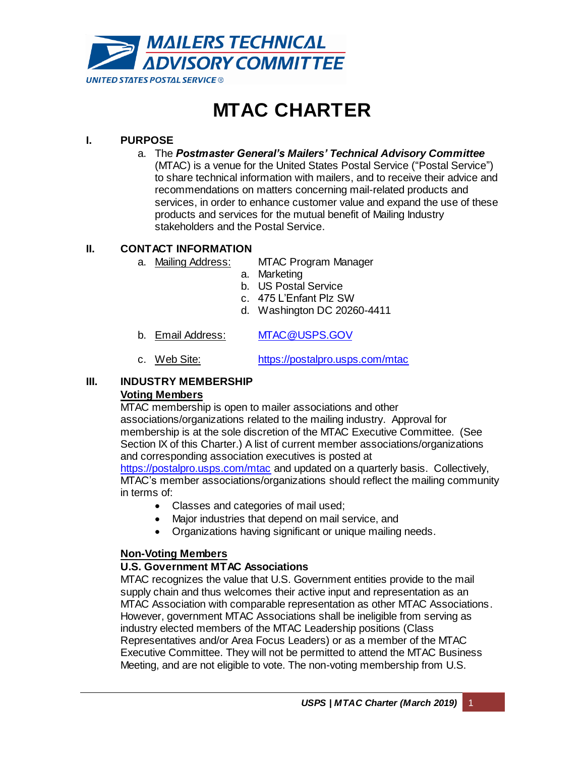

# **MTAC CHARTER**

# **I. PURPOSE**

a. The *Postmaster General's Mailers' Technical Advisory Committee*

(MTAC) is a venue for the United States Postal Service ("Postal Service") to share technical information with mailers, and to receive their advice and recommendations on matters concerning mail-related products and services, in order to enhance customer value and expand the use of these products and services for the mutual benefit of Mailing Industry stakeholders and the Postal Service.

# **II. CONTACT INFORMATION**

- a. Mailing Address: MTAC Program Manager
	- a. Marketing
	- b. US Postal Service
	- c. 475 L'Enfant Plz SW
	- d. Washington DC 20260-4411
- b. Email Address: [MTAC@USPS.GOV](mailto:MTAC@USPS.GOV)
- c. Web Site: <https://postalpro.usps.com/mtac>

# **III. INDUSTRY MEMBERSHIP**

## **Voting Members**

MTAC membership is open to mailer associations and other associations/organizations related to the mailing industry. Approval for membership is at the sole discretion of the MTAC Executive Committee. (See Section IX of this Charter.) A list of current member associations/organizations and corresponding association executives is posted at <https://postalpro.usps.com/mtac> and updated on a quarterly basis. Collectively, MTAC's member associations/organizations should reflect the mailing community in terms of:

- Classes and categories of mail used;
- Major industries that depend on mail service, and
- Organizations having significant or unique mailing needs.

## **Non-Voting Members**

## **U.S. Government MTAC Associations**

MTAC recognizes the value that U.S. Government entities provide to the mail supply chain and thus welcomes their active input and representation as an MTAC Association with comparable representation as other MTAC Associations. However, government MTAC Associations shall be ineligible from serving as industry elected members of the MTAC Leadership positions (Class Representatives and/or Area Focus Leaders) or as a member of the MTAC Executive Committee. They will not be permitted to attend the MTAC Business Meeting, and are not eligible to vote. The non-voting membership from U.S.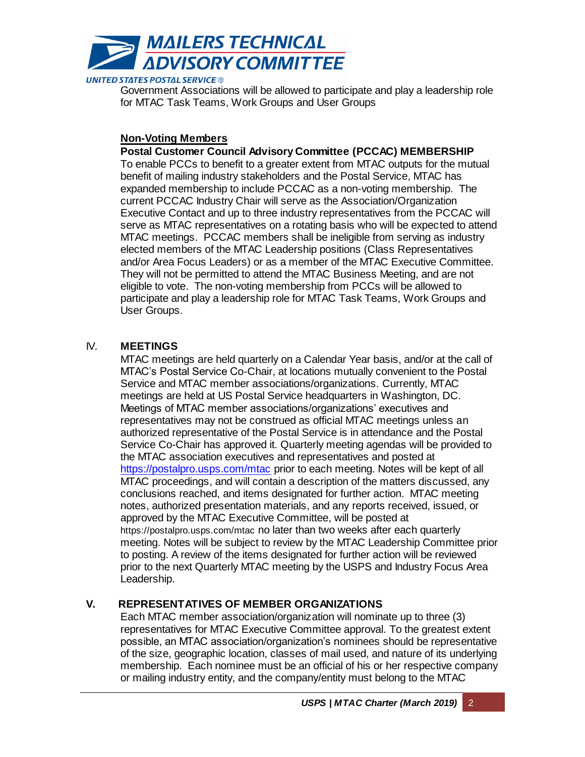

Government Associations will be allowed to participate and play a leadership role for MTAC Task Teams, Work Groups and User Groups

## **Non-Voting Members**

## **Postal Customer Council Advisory Committee (PCCAC) MEMBERSHIP**

To enable PCCs to benefit to a greater extent from MTAC outputs for the mutual benefit of mailing industry stakeholders and the Postal Service, MTAC has expanded membership to include PCCAC as a non-voting membership. The current PCCAC Industry Chair will serve as the Association/Organization Executive Contact and up to three industry representatives from the PCCAC will serve as MTAC representatives on a rotating basis who will be expected to attend MTAC meetings. PCCAC members shall be ineligible from serving as industry elected members of the MTAC Leadership positions (Class Representatives and/or Area Focus Leaders) or as a member of the MTAC Executive Committee. They will not be permitted to attend the MTAC Business Meeting, and are not eligible to vote. The non-voting membership from PCCs will be allowed to participate and play a leadership role for MTAC Task Teams, Work Groups and User Groups.

## IV. **MEETINGS**

MTAC meetings are held quarterly on a Calendar Year basis, and/or at the call of MTAC's Postal Service Co-Chair, at locations mutually convenient to the Postal Service and MTAC member associations/organizations. Currently, MTAC meetings are held at US Postal Service headquarters in Washington, DC. Meetings of MTAC member associations/organizations' executives and representatives may not be construed as official MTAC meetings unless an authorized representative of the Postal Service is in attendance and the Postal Service Co-Chair has approved it. Quarterly meeting agendas will be provided to the MTAC association executives and representatives and posted at <https://postalpro.usps.com/mtac> prior to each meeting. Notes will be kept of all MTAC proceedings, and will contain a description of the matters discussed, any conclusions reached, and items designated for further action. MTAC meeting notes, authorized presentation materials, and any reports received, issued, or approved by the MTAC Executive Committee, will be posted at <https://postalpro.usps.com/mtac> no later than two weeks after each quarterly meeting. Notes will be subject to review by the MTAC Leadership Committee prior to posting. A review of the items designated for further action will be reviewed prior to the next Quarterly MTAC meeting by the USPS and Industry Focus Area Leadership.

# **V. REPRESENTATIVES OF MEMBER ORGANIZATIONS**

Each MTAC member association/organization will nominate up to three (3) representatives for MTAC Executive Committee approval. To the greatest extent possible, an MTAC association/organization's nominees should be representative of the size, geographic location, classes of mail used, and nature of its underlying membership. Each nominee must be an official of his or her respective company or mailing industry entity, and the company/entity must belong to the MTAC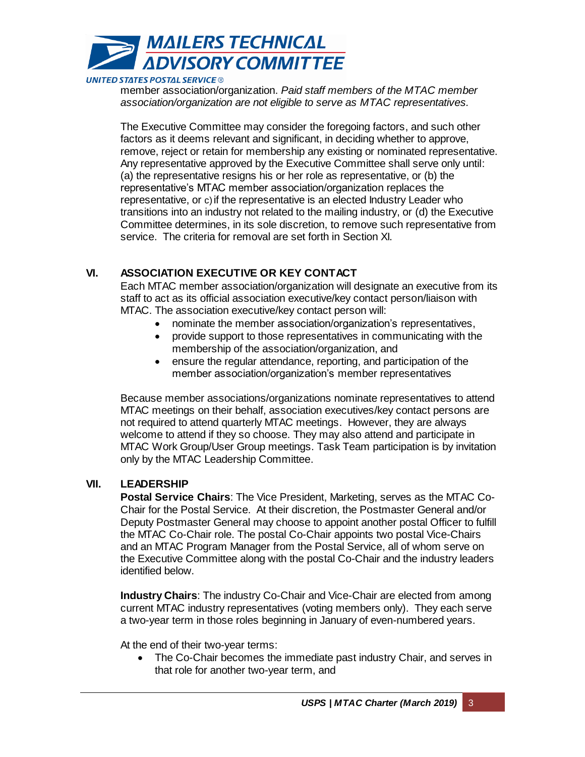

member association/organization. *Paid staff members of the MTAC member association/organization are not eligible to serve as MTAC representatives.*

The Executive Committee may consider the foregoing factors, and such other factors as it deems relevant and significant, in deciding whether to approve, remove, reject or retain for membership any existing or nominated representative. Any representative approved by the Executive Committee shall serve only until: (a) the representative resigns his or her role as representative, or (b) the representative's MTAC member association/organization replaces the representative, or c) if the representative is an elected Industry Leader who transitions into an industry not related to the mailing industry, or (d) the Executive Committee determines, in its sole discretion, to remove such representative from service. The criteria for removal are set forth in Section XI.

# **VI. ASSOCIATION EXECUTIVE OR KEY CONTACT**

Each MTAC member association/organization will designate an executive from its staff to act as its official association executive/key contact person/liaison with MTAC. The association executive/key contact person will:

- nominate the member association/organization's representatives,
- provide support to those representatives in communicating with the membership of the association/organization, and
- ensure the regular attendance, reporting, and participation of the member association/organization's member representatives

Because member associations/organizations nominate representatives to attend MTAC meetings on their behalf, association executives/key contact persons are not required to attend quarterly MTAC meetings. However, they are always welcome to attend if they so choose. They may also attend and participate in MTAC Work Group/User Group meetings. Task Team participation is by invitation only by the MTAC Leadership Committee.

## **VII. LEADERSHIP**

**Postal Service Chairs**: The Vice President, Marketing, serves as the MTAC Co-Chair for the Postal Service. At their discretion, the Postmaster General and/or Deputy Postmaster General may choose to appoint another postal Officer to fulfill the MTAC Co-Chair role. The postal Co-Chair appoints two postal Vice-Chairs and an MTAC Program Manager from the Postal Service, all of whom serve on the Executive Committee along with the postal Co-Chair and the industry leaders identified below.

**Industry Chairs**: The industry Co-Chair and Vice-Chair are elected from among current MTAC industry representatives (voting members only). They each serve a two-year term in those roles beginning in January of even-numbered years.

At the end of their two-year terms:

 The Co-Chair becomes the immediate past industry Chair, and serves in that role for another two-year term, and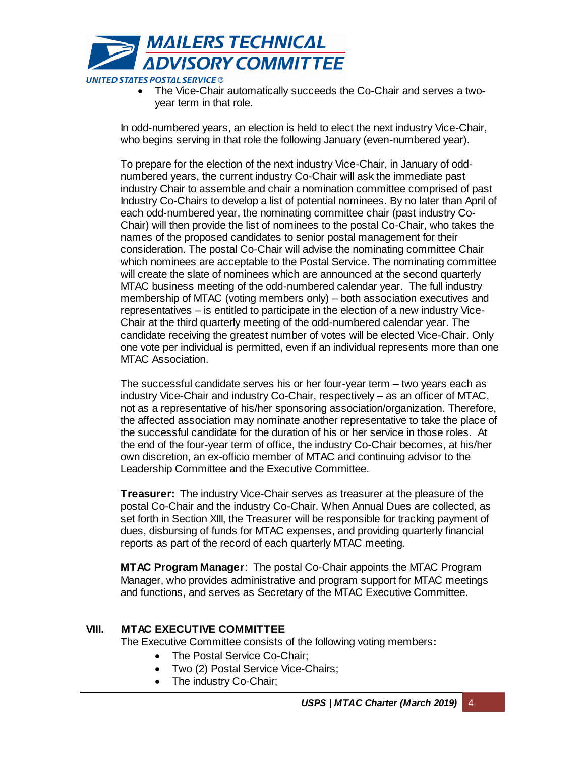

 The Vice-Chair automatically succeeds the Co-Chair and serves a twoyear term in that role.

In odd-numbered years, an election is held to elect the next industry Vice-Chair, who begins serving in that role the following January (even-numbered year).

To prepare for the election of the next industry Vice-Chair, in January of oddnumbered years, the current industry Co-Chair will ask the immediate past industry Chair to assemble and chair a nomination committee comprised of past Industry Co-Chairs to develop a list of potential nominees. By no later than April of each odd-numbered year, the nominating committee chair (past industry Co-Chair) will then provide the list of nominees to the postal Co-Chair, who takes the names of the proposed candidates to senior postal management for their consideration. The postal Co-Chair will advise the nominating committee Chair which nominees are acceptable to the Postal Service. The nominating committee will create the slate of nominees which are announced at the second quarterly MTAC business meeting of the odd-numbered calendar year. The full industry membership of MTAC (voting members only) – both association executives and representatives – is entitled to participate in the election of a new industry Vice-Chair at the third quarterly meeting of the odd-numbered calendar year. The candidate receiving the greatest number of votes will be elected Vice-Chair. Only one vote per individual is permitted, even if an individual represents more than one MTAC Association.

The successful candidate serves his or her four-year term – two years each as industry Vice-Chair and industry Co-Chair, respectively – as an officer of MTAC, not as a representative of his/her sponsoring association/organization. Therefore, the affected association may nominate another representative to take the place of the successful candidate for the duration of his or her service in those roles. At the end of the four-year term of office, the industry Co-Chair becomes, at his/her own discretion, an ex-officio member of MTAC and continuing advisor to the Leadership Committee and the Executive Committee.

**Treasurer:** The industry Vice-Chair serves as treasurer at the pleasure of the postal Co-Chair and the industry Co-Chair. When Annual Dues are collected, as set forth in Section XIII, the Treasurer will be responsible for tracking payment of dues, disbursing of funds for MTAC expenses, and providing quarterly financial reports as part of the record of each quarterly MTAC meeting.

**MTAC Program Manager**: The postal Co-Chair appoints the MTAC Program Manager, who provides administrative and program support for MTAC meetings and functions, and serves as Secretary of the MTAC Executive Committee.

## **VIII. MTAC EXECUTIVE COMMITTEE**

The Executive Committee consists of the following voting members**:** 

- The Postal Service Co-Chair;
- Two (2) Postal Service Vice-Chairs;
- The industry Co-Chair;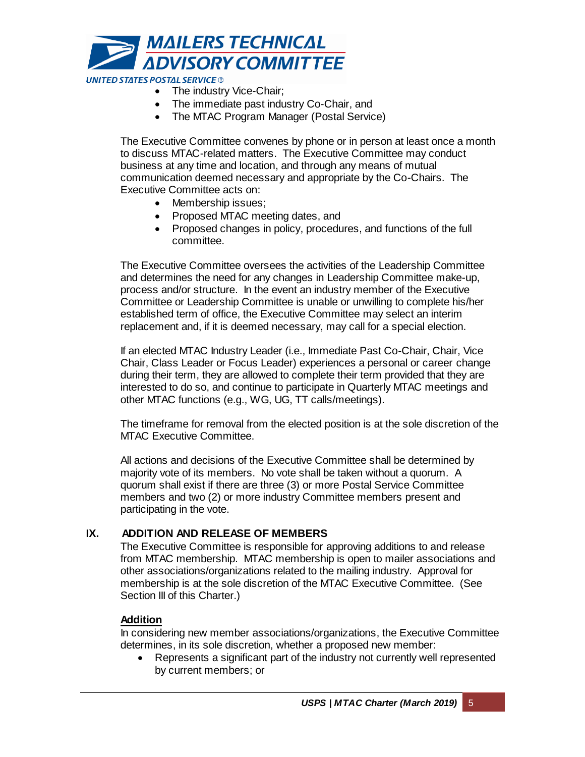

- The industry Vice-Chair:
- The immediate past industry Co-Chair, and
- The MTAC Program Manager (Postal Service)

The Executive Committee convenes by phone or in person at least once a month to discuss MTAC-related matters. The Executive Committee may conduct business at any time and location, and through any means of mutual communication deemed necessary and appropriate by the Co-Chairs. The Executive Committee acts on:

- Membership issues:
- Proposed MTAC meeting dates, and
- Proposed changes in policy, procedures, and functions of the full committee.

The Executive Committee oversees the activities of the Leadership Committee and determines the need for any changes in Leadership Committee make-up, process and/or structure. In the event an industry member of the Executive Committee or Leadership Committee is unable or unwilling to complete his/her established term of office, the Executive Committee may select an interim replacement and, if it is deemed necessary, may call for a special election.

If an elected MTAC Industry Leader (i.e., Immediate Past Co-Chair, Chair, Vice Chair, Class Leader or Focus Leader) experiences a personal or career change during their term, they are allowed to complete their term provided that they are interested to do so, and continue to participate in Quarterly MTAC meetings and other MTAC functions (e.g., WG, UG, TT calls/meetings).

The timeframe for removal from the elected position is at the sole discretion of the MTAC Executive Committee.

All actions and decisions of the Executive Committee shall be determined by majority vote of its members. No vote shall be taken without a quorum. A quorum shall exist if there are three (3) or more Postal Service Committee members and two (2) or more industry Committee members present and participating in the vote.

## **IX. ADDITION AND RELEASE OF MEMBERS**

The Executive Committee is responsible for approving additions to and release from MTAC membership. MTAC membership is open to mailer associations and other associations/organizations related to the mailing industry. Approval for membership is at the sole discretion of the MTAC Executive Committee. (See Section III of this Charter.)

## **Addition**

In considering new member associations/organizations, the Executive Committee determines, in its sole discretion, whether a proposed new member:

 Represents a significant part of the industry not currently well represented by current members; or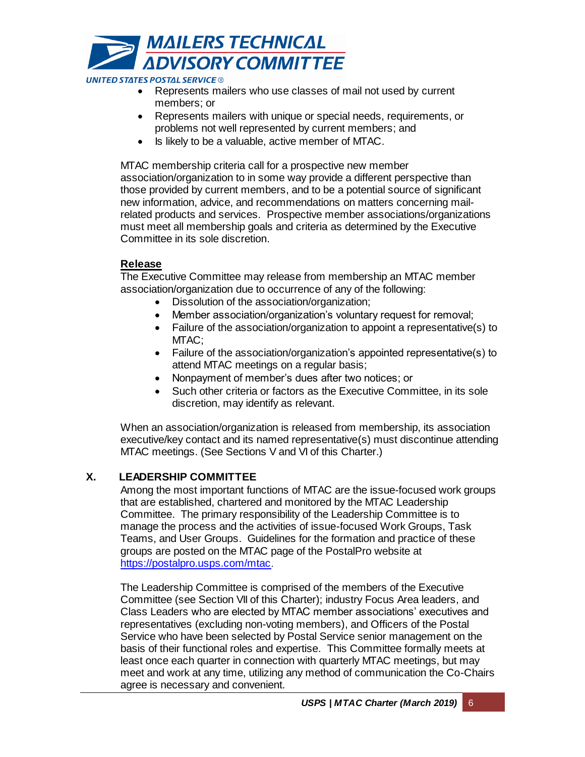

- Represents mailers who use classes of mail not used by current members; or
- Represents mailers with unique or special needs, requirements, or problems not well represented by current members; and
- Is likely to be a valuable, active member of MTAC.

MTAC membership criteria call for a prospective new member association/organization to in some way provide a different perspective than those provided by current members, and to be a potential source of significant new information, advice, and recommendations on matters concerning mailrelated products and services. Prospective member associations/organizations must meet all membership goals and criteria as determined by the Executive Committee in its sole discretion.

## **Release**

The Executive Committee may release from membership an MTAC member association/organization due to occurrence of any of the following:

- Dissolution of the association/organization;
- Member association/organization's voluntary request for removal;
- Failure of the association/organization to appoint a representative(s) to MTAC:
- Failure of the association/organization's appointed representative(s) to attend MTAC meetings on a regular basis;
- Nonpayment of member's dues after two notices; or
- Such other criteria or factors as the Executive Committee, in its sole discretion, may identify as relevant.

When an association/organization is released from membership, its association executive/key contact and its named representative(s) must discontinue attending MTAC meetings. (See Sections V and VI of this Charter.)

# **X. LEADERSHIP COMMITTEE**

Among the most important functions of MTAC are the issue-focused work groups that are established, chartered and monitored by the MTAC Leadership Committee. The primary responsibility of the Leadership Committee is to manage the process and the activities of issue-focused Work Groups, Task Teams, and User Groups. Guidelines for the formation and practice of these groups are posted on the MTAC page of the PostalPro website at <https://postalpro.usps.com/mtac>.

The Leadership Committee is comprised of the members of the Executive Committee (see Section VII of this Charter); industry Focus Area leaders, and Class Leaders who are elected by MTAC member associations' executives and representatives (excluding non-voting members), and Officers of the Postal Service who have been selected by Postal Service senior management on the basis of their functional roles and expertise. This Committee formally meets at least once each quarter in connection with quarterly MTAC meetings, but may meet and work at any time, utilizing any method of communication the Co-Chairs agree is necessary and convenient.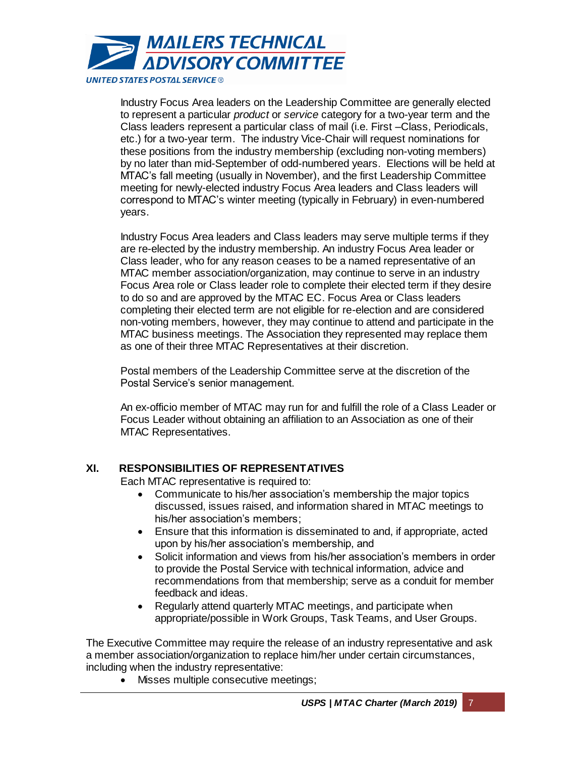

Industry Focus Area leaders on the Leadership Committee are generally elected to represent a particular *product* or *service* category for a two-year term and the Class leaders represent a particular class of mail (i.e. First –Class, Periodicals, etc.) for a two-year term. The industry Vice-Chair will request nominations for these positions from the industry membership (excluding non-voting members) by no later than mid-September of odd-numbered years. Elections will be held at MTAC's fall meeting (usually in November), and the first Leadership Committee meeting for newly-elected industry Focus Area leaders and Class leaders will correspond to MTAC's winter meeting (typically in February) in even-numbered years.

Industry Focus Area leaders and Class leaders may serve multiple terms if they are re-elected by the industry membership. An industry Focus Area leader or Class leader, who for any reason ceases to be a named representative of an MTAC member association/organization, may continue to serve in an industry Focus Area role or Class leader role to complete their elected term if they desire to do so and are approved by the MTAC EC. Focus Area or Class leaders completing their elected term are not eligible for re-election and are considered non-voting members, however, they may continue to attend and participate in the MTAC business meetings. The Association they represented may replace them as one of their three MTAC Representatives at their discretion.

Postal members of the Leadership Committee serve at the discretion of the Postal Service's senior management.

An ex-officio member of MTAC may run for and fulfill the role of a Class Leader or Focus Leader without obtaining an affiliation to an Association as one of their MTAC Representatives.

# **XI. RESPONSIBILITIES OF REPRESENTATIVES**

Each MTAC representative is required to:

- Communicate to his/her association's membership the major topics discussed, issues raised, and information shared in MTAC meetings to his/her association's members;
- Ensure that this information is disseminated to and, if appropriate, acted upon by his/her association's membership, and
- Solicit information and views from his/her association's members in order to provide the Postal Service with technical information, advice and recommendations from that membership; serve as a conduit for member feedback and ideas.
- Regularly attend quarterly MTAC meetings, and participate when appropriate/possible in Work Groups, Task Teams, and User Groups.

The Executive Committee may require the release of an industry representative and ask a member association/organization to replace him/her under certain circumstances, including when the industry representative:

• Misses multiple consecutive meetings;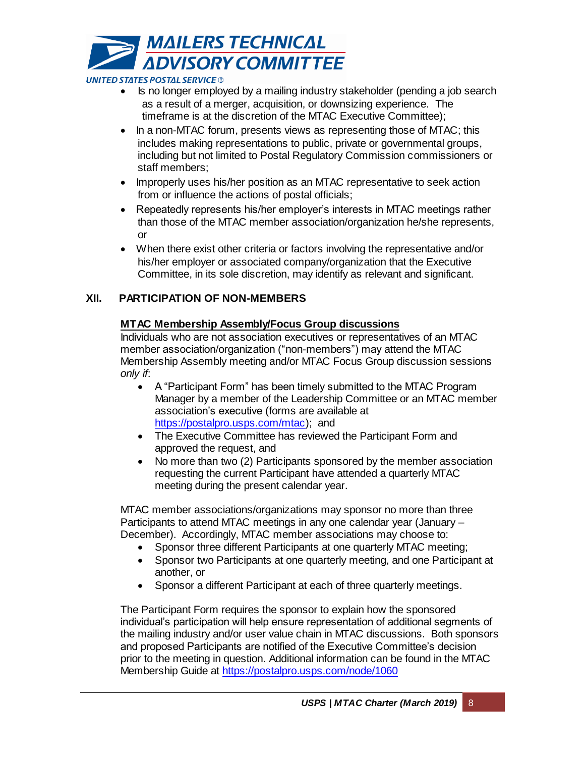

- Is no longer employed by a mailing industry stakeholder (pending a job search as a result of a merger, acquisition, or downsizing experience. The timeframe is at the discretion of the MTAC Executive Committee);
- In a non-MTAC forum, presents views as representing those of MTAC; this includes making representations to public, private or governmental groups, including but not limited to Postal Regulatory Commission commissioners or staff members;
- Improperly uses his/her position as an MTAC representative to seek action from or influence the actions of postal officials;
- Repeatedly represents his/her employer's interests in MTAC meetings rather than those of the MTAC member association/organization he/she represents, or
- When there exist other criteria or factors involving the representative and/or his/her employer or associated company/organization that the Executive Committee, in its sole discretion, may identify as relevant and significant.

# **XII. PARTICIPATION OF NON-MEMBERS**

# **MTAC Membership Assembly/Focus Group discussions**

Individuals who are not association executives or representatives of an MTAC member association/organization ("non-members") may attend the MTAC Membership Assembly meeting and/or MTAC Focus Group discussion sessions *only if*:

- A "Participant Form" has been timely submitted to the MTAC Program Manager by a member of the Leadership Committee or an MTAC member association's executive (forms are available at [https://postalpro.usps.com/mtac\)](https://postalpro.usps.com/mtac); and
- The Executive Committee has reviewed the Participant Form and approved the request, and
- No more than two (2) Participants sponsored by the member association requesting the current Participant have attended a quarterly MTAC meeting during the present calendar year.

MTAC member associations/organizations may sponsor no more than three Participants to attend MTAC meetings in any one calendar year (January – December). Accordingly, MTAC member associations may choose to:

- Sponsor three different Participants at one quarterly MTAC meeting;
- Sponsor two Participants at one quarterly meeting, and one Participant at another, or
- Sponsor a different Participant at each of three quarterly meetings.

The Participant Form requires the sponsor to explain how the sponsored individual's participation will help ensure representation of additional segments of the mailing industry and/or user value chain in MTAC discussions. Both sponsors and proposed Participants are notified of the Executive Committee's decision prior to the meeting in question. Additional information can be found in the MTAC Membership Guide at<https://postalpro.usps.com/node/1060>